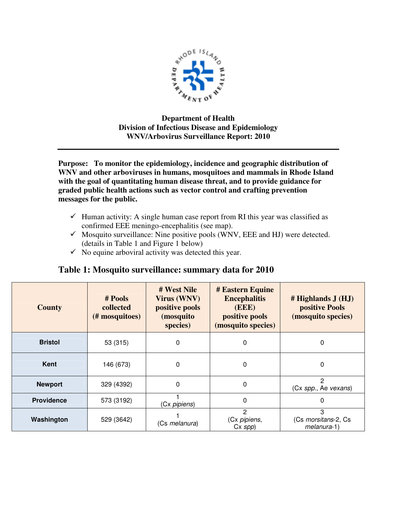

## **Department of Health Division of Infectious Disease and Epidemiology WNV/Arbovirus Surveillance Report: 2010**

**Purpose: To monitor the epidemiology, incidence and geographic distribution of WNV and other arboviruses in humans, mosquitoes and mammals in Rhode Island with the goal of quantitating human disease threat, and to provide guidance for graded public health actions such as vector control and crafting prevention messages for the public.** 

- $\checkmark$  Human activity: A single human case report from RI this year was classified as confirmed EEE meningo-encephalitis (see map).
- $\checkmark$  Mosquito surveillance: Nine positive pools (WNV, EEE and HJ) were detected. (details in Table 1 and Figure 1 below)
- $\checkmark$  No equine arboviral activity was detected this year.

| <b>County</b>     | # Pools<br>collected<br>(# mosquitoes) | # West Nile<br>Virus (WNV)<br>positive pools<br>(mosquito<br>species) | # Eastern Equine<br><b>Encephalitis</b><br>(EEE)<br>positive pools<br>(mosquito species) | $#$ Highlands $J(HJ)$<br>positive Pools<br>(mosquito species) |
|-------------------|----------------------------------------|-----------------------------------------------------------------------|------------------------------------------------------------------------------------------|---------------------------------------------------------------|
| <b>Bristol</b>    | 53 (315)                               | 0                                                                     | 0                                                                                        | 0                                                             |
| Kent              | 146 (673)                              | 0                                                                     | 0                                                                                        | 0                                                             |
| <b>Newport</b>    | 329 (4392)                             | 0                                                                     | 0                                                                                        | 2<br>(Cx spp., Ae vexans)                                     |
| <b>Providence</b> | 573 (3192)                             | (Cx pipiens)                                                          | 0                                                                                        | 0                                                             |
| Washington        | 529 (3642)                             | (Cs melanura)                                                         | 2<br>(Cx pipiens,<br>$Cx$ spp)                                                           | 3<br>(Cs morsitans-2, Cs<br>melanura-1)                       |

## **Table 1: Mosquito surveillance: summary data for 2010**